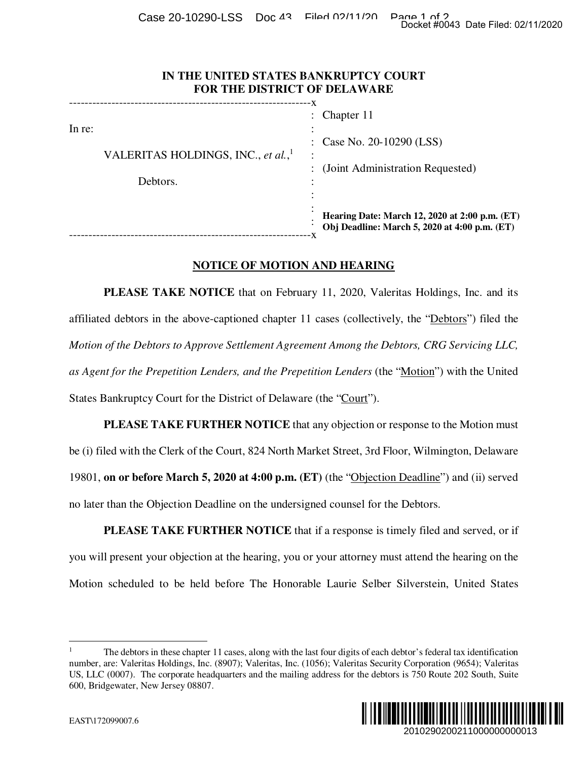Case 20-10290-LSS Doc 43 Filed 02/11/20 Page 1 of 2<br>Docket #0043 Date Filed: 02/11/2020

| IN THE UNITED STATES BANKRUPTCY COURT |
|---------------------------------------|
| <b>FOR THE DISTRICT OF DELAWARE</b>   |

|                                                                                                                                                                                                                                                                                        | Docket #0043 Date Filed: 02/11/2020                                                                                |  |
|----------------------------------------------------------------------------------------------------------------------------------------------------------------------------------------------------------------------------------------------------------------------------------------|--------------------------------------------------------------------------------------------------------------------|--|
| IN THE UNITED STATES BANKRUPTCY COURT<br>FOR THE DISTRICT OF DELAWARE                                                                                                                                                                                                                  |                                                                                                                    |  |
| In re:<br>VALERITAS HOLDINGS, INC., et al., <sup>1</sup><br>Debtors.                                                                                                                                                                                                                   | Chapter 11                                                                                                         |  |
|                                                                                                                                                                                                                                                                                        | Case No. 20-10290 (LSS)                                                                                            |  |
|                                                                                                                                                                                                                                                                                        | (Joint Administration Requested)                                                                                   |  |
|                                                                                                                                                                                                                                                                                        | Hearing Date: March 12, 2020 at 2:00 p.m. (ET)<br>Obj Deadline: March 5, 2020 at 4:00 p.m. (ET)                    |  |
| <b>NOTICE OF MOTION AND HEARING</b>                                                                                                                                                                                                                                                    |                                                                                                                    |  |
|                                                                                                                                                                                                                                                                                        | <b>PLEASE TAKE NOTICE</b> that on February 11, 2020, Valeritas Holdings, Inc. and its                              |  |
| affiliated debtors in the above-captioned chapter 11 cases (collectively, the "Debtors") filed the                                                                                                                                                                                     |                                                                                                                    |  |
| Motion of the Debtors to Approve Settlement Agreement Among the Debtors, CRG Servicing LLC,                                                                                                                                                                                            |                                                                                                                    |  |
| as Agent for the Prepetition Lenders, and the Prepetition Lenders (the "Motion") with the United                                                                                                                                                                                       |                                                                                                                    |  |
| States Bankruptcy Court for the District of Delaware (the "Court").                                                                                                                                                                                                                    |                                                                                                                    |  |
|                                                                                                                                                                                                                                                                                        | <b>PLEASE TAKE FURTHER NOTICE</b> that any objection or response to the Motion must                                |  |
| be (i) filed with the Clerk of the Court, 824 North Market Street, 3rd Floor, Wilmington, Delaware                                                                                                                                                                                     |                                                                                                                    |  |
| 19801, on or before March 5, 2020 at 4:00 p.m. (ET) (the "Objection Deadline") and (ii) served                                                                                                                                                                                         |                                                                                                                    |  |
| no later than the Objection Deadline on the undersigned counsel for the Debtors.                                                                                                                                                                                                       |                                                                                                                    |  |
|                                                                                                                                                                                                                                                                                        | <b>PLEASE TAKE FURTHER NOTICE</b> that if a response is timely filed and served, or if                             |  |
| you will present your objection at the hearing, you or your attorney must attend the hearing on the                                                                                                                                                                                    |                                                                                                                    |  |
| Motion scheduled to be held before The Honorable Laurie Selber Silverstein, United States                                                                                                                                                                                              |                                                                                                                    |  |
| 1<br>number, are: Valeritas Holdings, Inc. (8907); Valeritas, Inc. (1056); Valeritas Security Corporation (9654); Valeritas<br>US, LLC (0007). The corporate headquarters and the mailing address for the debtors is 750 Route 202 South, Suite<br>600, Bridgewater, New Jersey 08807. | The debtors in these chapter 11 cases, along with the last four digits of each debtor's federal tax identification |  |
| EAST\172099007.6                                                                                                                                                                                                                                                                       | <br>IIIII<br>2010290200211000000000013                                                                             |  |

## **NOTICE OF MOTION AND HEARING**

<sup>1</sup> The debtors in these chapter 11 cases, along with the last four digits of each debtor's federal tax identification number, are: Valeritas Holdings, Inc. (8907); Valeritas, Inc. (1056); Valeritas Security Corporation (9654); Valeritas US, LLC (0007). The corporate headquarters and the mailing address for the debtors is 750 Route 202 South, Suite 600, Bridgewater, New Jersey 08807.